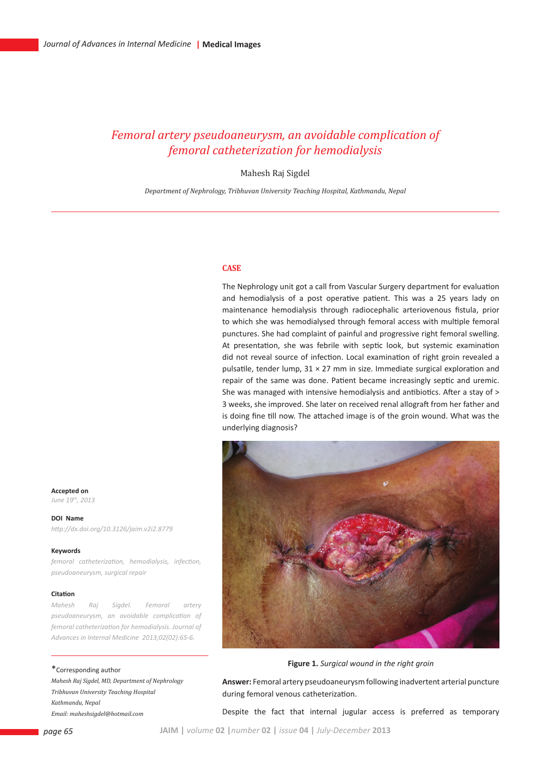# *Femoral artery pseudoaneurysm, an avoidable complication of femoral catheterization for hemodialysis*

Mahesh Raj Sigdel

*Department of Nephrology, Tribhuvan University Teaching Hospital, Kathmandu, Nepal*

## **Case**

The Nephrology unit got a call from Vascular Surgery department for evaluation and hemodialysis of a post operative patient. This was a 25 years lady on maintenance hemodialysis through radiocephalic arteriovenous fistula, prior to which she was hemodialysed through femoral access with multiple femoral punctures. She had complaint of painful and progressive right femoral swelling. At presentation, she was febrile with septic look, but systemic examination did not reveal source of infection. Local examination of right groin revealed a pulsatile, tender lump,  $31 \times 27$  mm in size. Immediate surgical exploration and repair of the same was done. Patient became increasingly septic and uremic. She was managed with intensive hemodialysis and antibiotics. After a stay of > 3 weeks, she improved. She later on received renal allograft from her father and is doing fine till now. The attached image is of the groin wound. What was the underlying diagnosis?



**Figure 1.** *Surgical wound in the right groin*

**Answer:** Femoral artery pseudoaneurysm following inadvertent arterial puncture during femoral venous catheterization.

Despite the fact that internal jugular access is preferred as temporary

**Accepted on** *June 19th, 2013*

**DOI Name** *http://dx.doi.org/10.3126/jaim.v2i2.8779*

#### **Keywords**

*femoral catheterization, hemodialysis, infection, pseudoaneurysm, surgical repair*

### **Citation**

*Mahesh Raj Sigdel. Femoral artery pseudoaneurysm, an avoidable complication of femoral catheterization for hemodialysis. Journal of Advances in Internal Medicine 2013;02(02):65-6.*

## \*Corresponding author

*Mahesh Raj Sigdel, MD, Department of Nephrology Tribhuvan University Teaching Hospital Kathmandu, Nepal Email: maheshsigdel@hotmail.com*

*page 65* **JAIM |** *volume* **02 |***number* **02 |** *issue* **04 |** *July-December* **2013**